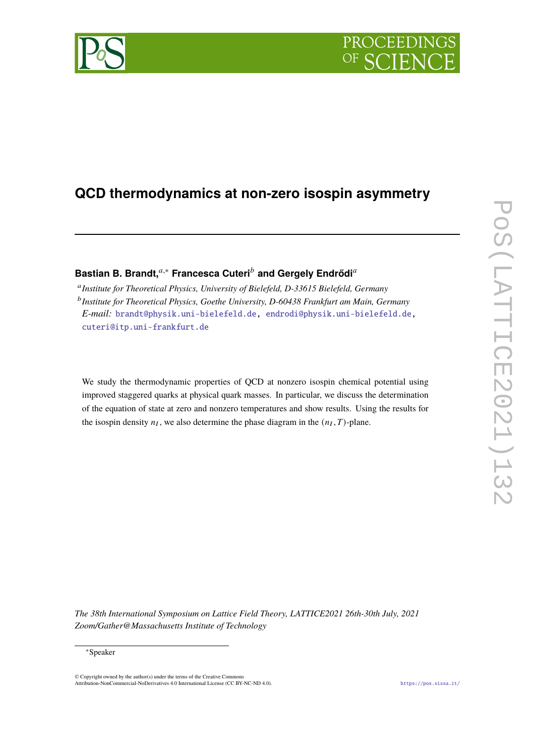# **PROCEEDI**

## **QCD thermodynamics at non-zero isospin asymmetry**

## **Bastian B. Brandt,**<sup>a,∗</sup> Francesca Cuteri<sup>b</sup> and Gergely Endrődi<sup>a</sup>

<sup>a</sup> Institute for Theoretical Physics, University of Bielefeld, D-33615 Bielefeld, Germany <sup>b</sup> Institute for Theoretical Physics, Goethe University, D-60438 Frankfurt am Main, Germany *E-mail:* [brandt@physik.uni-bielefeld.de,](mailto:brandt@physik.uni-bielefeld.de) [endrodi@physik.uni-bielefeld.de,](mailto:endrodi@physik.uni-bielefeld.de) [cuteri@itp.uni-frankfurt.de](mailto:cuteri@itp.uni-frankfurt.de)

We study the thermodynamic properties of QCD at nonzero isospin chemical potential using improved staggered quarks at physical quark masses. In particular, we discuss the determination of the equation of state at zero and nonzero temperatures and show results. Using the results for the isospin density  $n_I$ , we also determine the phase diagram in the  $(n_I, T)$ -plane.

*The 38th International Symposium on Lattice Field Theory, LATTICE2021 26th-30th July, 2021 Zoom/Gather@Massachusetts Institute of Technology*

© Copyright owned by the author(s) under the terms of the Creative Commons Attribution-NonCommercial-NoDerivatives 4.0 International License (CC BY-NC-ND 4.0). <https://pos.sissa.it/>

<sup>∗</sup>Speaker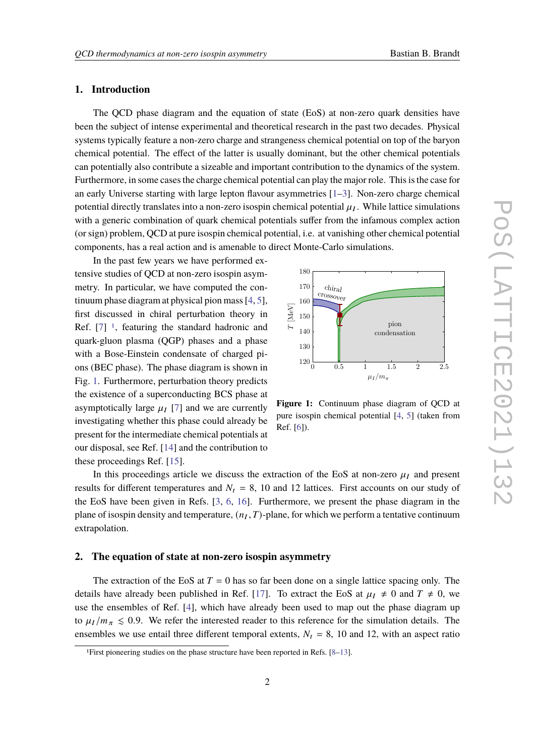#### **1. Introduction**

The QCD phase diagram and the equation of state (EoS) at non-zero quark densities have been the subject of intense experimental and theoretical research in the past two decades. Physical systems typically feature a non-zero charge and strangeness chemical potential on top of the baryon chemical potential. The effect of the latter is usually dominant, but the other chemical potentials can potentially also contribute a sizeable and important contribution to the dynamics of the system. Furthermore, in some cases the charge chemical potential can play the major role. This is the case for an early Universe starting with large lepton flavour asymmetries [\[1–](#page-6-0)[3\]](#page-6-1). Non-zero charge chemical potential directly translates into a non-zero isospin chemical potential  $\mu_I$ . While lattice simulations with a generic combination of quark chemical potentials suffer from the infamous complex action (or sign) problem, QCD at pure isospin chemical potential, i.e. at vanishing other chemical potential components, has a real action and is amenable to direct Monte-Carlo simulations.

In the past few years we have performed extensive studies of QCD at non-zero isospin asymmetry. In particular, we have computed the continuum phase diagram at physical pion mass [\[4,](#page-6-2) [5\]](#page-6-3), first discussed in chiral perturbation theory in Ref.  $[7]$ <sup>[1](#page-1-0)</sup>, featuring the standard hadronic and quark-gluon plasma (QGP) phases and a phase with a Bose-Einstein condensate of charged pions (BEC phase). The phase diagram is shown in Fig. [1.](#page-1-1) Furthermore, perturbation theory predicts the existence of a superconducting BCS phase at asymptotically large  $\mu_I$  [\[7\]](#page-7-1) and we are currently investigating whether this phase could already be present for the intermediate chemical potentials at our disposal, see Ref. [\[14\]](#page-7-2) and the contribution to these proceedings Ref. [\[15\]](#page-7-3).

<span id="page-1-1"></span>

**Figure 1:** Continuum phase diagram of QCD at pure isospin chemical potential [\[4,](#page-6-2) [5\]](#page-6-3) (taken from Ref. [\[6\]](#page-7-0)).

In this proceedings article we discuss the extraction of the EoS at non-zero  $\mu_I$  and present results for different temperatures and  $N_t = 8$ , 10 and 12 lattices. First accounts on our study of the EoS have been given in Refs. [\[3,](#page-6-1) [6,](#page-7-0) [16\]](#page-7-4). Furthermore, we present the phase diagram in the plane of isospin density and temperature,  $(n_I, T)$ -plane, for which we perform a tentative continuum extrapolation.

#### **2. The equation of state at non-zero isospin asymmetry**

The extraction of the EoS at  $T = 0$  has so far been done on a single lattice spacing only. The details have already been published in Ref. [\[17\]](#page-7-5). To extract the EoS at  $\mu_I \neq 0$  and  $T \neq 0$ , we use the ensembles of Ref. [\[4\]](#page-6-2), which have already been used to map out the phase diagram up to  $\mu_I/m_\pi \leq 0.9$ . We refer the interested reader to this reference for the simulation details. The ensembles we use entail three different temporal extents,  $N_t = 8$ , 10 and 12, with an aspect ratio

<span id="page-1-0"></span><sup>1</sup>First pioneering studies on the phase structure have been reported in Refs. [\[8–](#page-7-6)[13\]](#page-7-7).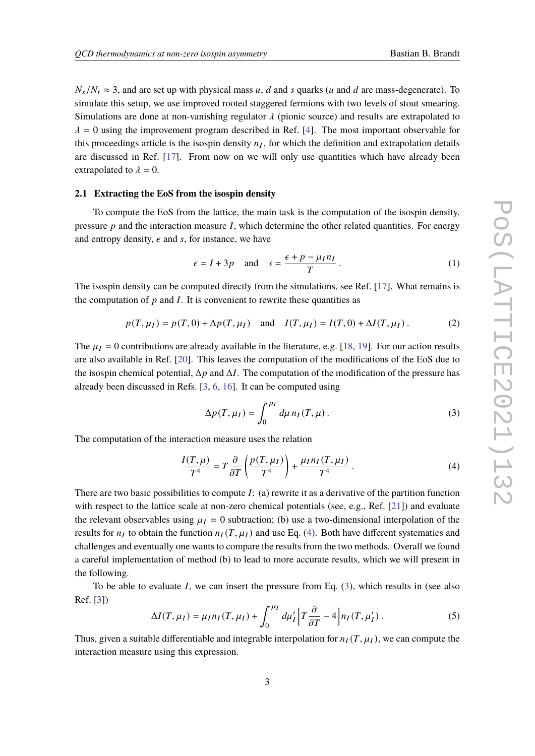$N_s/N_t \approx 3$ , and are set up with physical mass u, d and s quarks (u and d are mass-degenerate). To simulate this setup, we use improved rooted staggered fermions with two levels of stout smearing. Simulations are done at non-vanishing regulator  $\lambda$  (pionic source) and results are extrapolated to  $\lambda = 0$  using the improvement program described in Ref. [\[4\]](#page-6-2). The most important observable for this proceedings article is the isospin density  $n_I$ , for which the definition and extrapolation details are discussed in Ref. [\[17\]](#page-7-5). From now on we will only use quantities which have already been extrapolated to  $\lambda = 0$ .

#### **2.1 Extracting the EoS from the isospin density**

To compute the EoS from the lattice, the main task is the computation of the isospin density, pressure  $p$  and the interaction measure  $I$ , which determine the other related quantities. For energy and entropy density,  $\epsilon$  and s, for instance, we have

<span id="page-2-2"></span>
$$
\epsilon = I + 3p \quad \text{and} \quad s = \frac{\epsilon + p - \mu_I n_I}{T} \,. \tag{1}
$$

The isospin density can be computed directly from the simulations, see Ref. [\[17\]](#page-7-5). What remains is the computation of  $p$  and  $I$ . It is convenient to rewrite these quantities as

$$
p(T, \mu_I) = p(T, 0) + \Delta p(T, \mu_I) \quad \text{and} \quad I(T, \mu_I) = I(T, 0) + \Delta I(T, \mu_I). \tag{2}
$$

The  $\mu_I = 0$  contributions are already available in the literature, e.g. [\[18,](#page-7-8) [19\]](#page-7-9). For our action results are also available in Ref. [\[20\]](#page-7-10). This leaves the computation of the modifications of the EoS due to the isospin chemical potential,  $\Delta p$  and  $\Delta I$ . The computation of the modification of the pressure has already been discussed in Refs. [\[3,](#page-6-1) [6,](#page-7-0) [16\]](#page-7-4). It can be computed using

<span id="page-2-1"></span>
$$
\Delta p(T, \mu_I) = \int_0^{\mu_I} d\mu \, n_I(T, \mu) \,. \tag{3}
$$

The computation of the interaction measure uses the relation

<span id="page-2-0"></span>
$$
\frac{I(T,\mu)}{T^4} = T\frac{\partial}{\partial T}\left(\frac{p(T,\mu_I)}{T^4}\right) + \frac{\mu_I n_I(T,\mu_I)}{T^4}.
$$
\n(4)

There are two basic possibilities to compute  $I$ : (a) rewrite it as a derivative of the partition function with respect to the lattice scale at non-zero chemical potentials (see, e.g., Ref. [\[21\]](#page-7-11)) and evaluate the relevant observables using  $\mu_I = 0$  subtraction; (b) use a two-dimensional interpolation of the results for  $n_I$  to obtain the function  $n_I(T, \mu_I)$  and use Eq. [\(4\)](#page-2-0). Both have different systematics and challenges and eventually one wants to compare the results from the two methods. Overall we found a careful implementation of method (b) to lead to more accurate results, which we will present in the following.

To be able to evaluate  $I$ , we can insert the pressure from Eq.  $(3)$ , which results in (see also Ref. [\[3\]](#page-6-1))

$$
\Delta I(T, \mu_I) = \mu_I n_I(T, \mu_I) + \int_0^{\mu_I} d\mu_I' \left[ T \frac{\partial}{\partial T} - 4 \right] n_I(T, \mu_I'). \tag{5}
$$

Thus, given a suitable differentiable and integrable interpolation for  $n_I(T, \mu_I)$ , we can compute the interaction measure using this expression.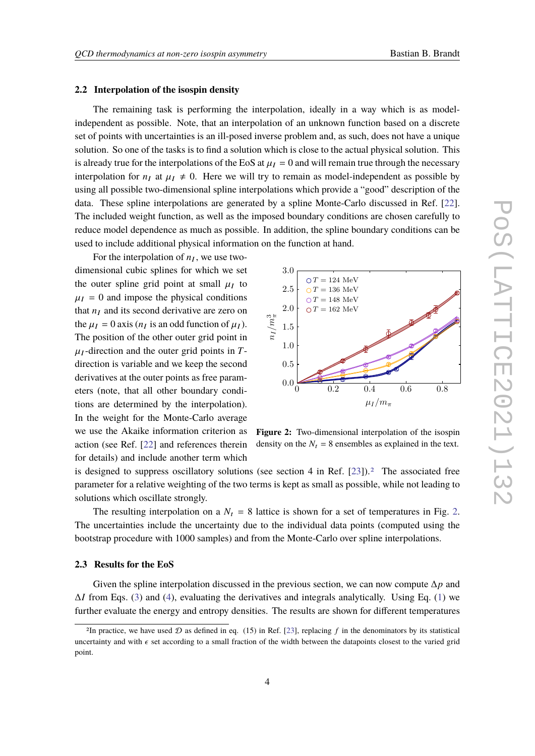#### **2.2 Interpolation of the isospin density**

The remaining task is performing the interpolation, ideally in a way which is as modelindependent as possible. Note, that an interpolation of an unknown function based on a discrete set of points with uncertainties is an ill-posed inverse problem and, as such, does not have a unique solution. So one of the tasks is to find a solution which is close to the actual physical solution. This is already true for the interpolations of the EoS at  $\mu_I = 0$  and will remain true through the necessary interpolation for  $n_l$  at  $\mu_l \neq 0$ . Here we will try to remain as model-independent as possible by using all possible two-dimensional spline interpolations which provide a "good" description of the data. These spline interpolations are generated by a spline Monte-Carlo discussed in Ref. [\[22\]](#page-8-0). The included weight function, as well as the imposed boundary conditions are chosen carefully to reduce model dependence as much as possible. In addition, the spline boundary conditions can be used to include additional physical information on the function at hand.

For the interpolation of  $n_I$ , we use twodimensional cubic splines for which we set the outer spline grid point at small  $\mu_I$  to  $\mu_I = 0$  and impose the physical conditions that  $n_I$  and its second derivative are zero on the  $\mu_I = 0$  axis ( $n_I$  is an odd function of  $\mu_I$ ). The position of the other outer grid point in  $\mu_I$ -direction and the outer grid points in Tdirection is variable and we keep the second derivatives at the outer points as free parameters (note, that all other boundary conditions are determined by the interpolation). In the weight for the Monte-Carlo average we use the Akaike information criterion as action (see Ref. [\[22\]](#page-8-0) and references therein for details) and include another term which

<span id="page-3-1"></span>

**Figure 2:** Two-dimensional interpolation of the isospin density on the  $N_t = 8$  ensembles as explained in the text.

is designed to suppress oscillatory solutions (see section 4 in Ref.  $[23]$ ).<sup>[2](#page-3-0)</sup> The associated free parameter for a relative weighting of the two terms is kept as small as possible, while not leading to solutions which oscillate strongly.

The resulting interpolation on a  $N_t = 8$  lattice is shown for a set of temperatures in Fig. [2.](#page-3-1) The uncertainties include the uncertainty due to the individual data points (computed using the bootstrap procedure with 1000 samples) and from the Monte-Carlo over spline interpolations.

#### **2.3 Results for the EoS**

Given the spline interpolation discussed in the previous section, we can now compute  $\Delta p$  and  $\Delta I$  from Eqs. [\(3\)](#page-2-1) and [\(4\)](#page-2-0), evaluating the derivatives and integrals analytically. Using Eq. [\(1\)](#page-2-2) we further evaluate the energy and entropy densities. The results are shown for different temperatures

<span id="page-3-0"></span><sup>&</sup>lt;sup>2</sup>In practice, we have used  $D$  as defined in eq. (15) in Ref. [\[23\]](#page-8-1), replacing f in the denominators by its statistical uncertainty and with  $\epsilon$  set according to a small fraction of the width between the datapoints closest to the varied grid point.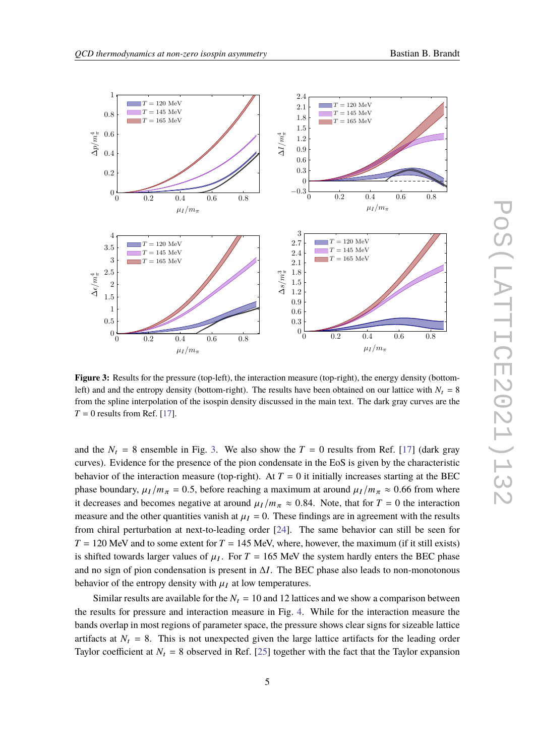<span id="page-4-0"></span>

**Figure 3:** Results for the pressure (top-left), the interaction measure (top-right), the energy density (bottomleft) and and the entropy density (bottom-right). The results have been obtained on our lattice with  $N_t = 8$ from the spline interpolation of the isospin density discussed in the main text. The dark gray curves are the  $T = 0$  results from Ref. [\[17\]](#page-7-5).

and the  $N_t = 8$  ensemble in Fig. [3.](#page-4-0) We also show the  $T = 0$  results from Ref. [\[17\]](#page-7-5) (dark gray curves). Evidence for the presence of the pion condensate in the EoS is given by the characteristic behavior of the interaction measure (top-right). At  $T = 0$  it initially increases starting at the BEC phase boundary,  $\mu_I/m_\pi = 0.5$ , before reaching a maximum at around  $\mu_I/m_\pi \approx 0.66$  from where it decreases and becomes negative at around  $\mu_I/m_\pi \approx 0.84$ . Note, that for  $T = 0$  the interaction measure and the other quantities vanish at  $\mu_I = 0$ . These findings are in agreement with the results from chiral perturbation at next-to-leading order [\[24\]](#page-8-2). The same behavior can still be seen for  $T = 120$  MeV and to some extent for  $T = 145$  MeV, where, however, the maximum (if it still exists) is shifted towards larger values of  $\mu_I$ . For  $T = 165$  MeV the system hardly enters the BEC phase and no sign of pion condensation is present in  $\Delta I$ . The BEC phase also leads to non-monotonous behavior of the entropy density with  $\mu_I$  at low temperatures.

Similar results are available for the  $N_t = 10$  and 12 lattices and we show a comparison between the results for pressure and interaction measure in Fig. [4.](#page-5-0) While for the interaction measure the bands overlap in most regions of parameter space, the pressure shows clear signs for sizeable lattice artifacts at  $N_t = 8$ . This is not unexpected given the large lattice artifacts for the leading order Taylor coefficient at  $N_t = 8$  observed in Ref. [\[25\]](#page-8-3) together with the fact that the Taylor expansion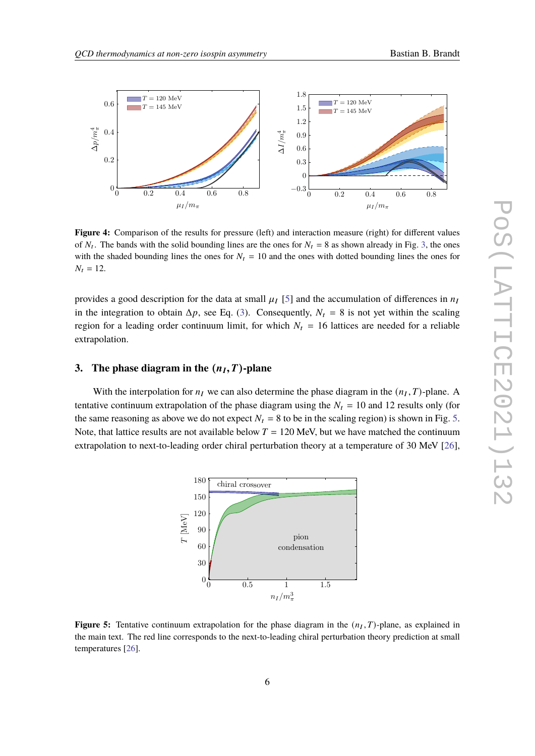<span id="page-5-0"></span>

**Figure 4:** Comparison of the results for pressure (left) and interaction measure (right) for different values of  $N_t$ . The bands with the solid bounding lines are the ones for  $N_t = 8$  as shown already in Fig. [3,](#page-4-0) the ones with the shaded bounding lines the ones for  $N_t = 10$  and the ones with dotted bounding lines the ones for  $N_t = 12$ .

provides a good description for the data at small  $\mu_I$  [\[5\]](#page-6-3) and the accumulation of differences in  $n_I$ in the integration to obtain  $\Delta p$ , see Eq. [\(3\)](#page-2-1). Consequently,  $N_t = 8$  is not yet within the scaling region for a leading order continuum limit, for which  $N_t = 16$  lattices are needed for a reliable extrapolation.

### **3.** The phase diagram in the  $(n_I, T)$ -plane

<span id="page-5-1"></span>With the interpolation for  $n_I$  we can also determine the phase diagram in the  $(n_I, T)$ -plane. A tentative continuum extrapolation of the phase diagram using the  $N_t = 10$  and 12 results only (for the same reasoning as above we do not expect  $N_t = 8$  to be in the scaling region) is shown in Fig. [5.](#page-5-1) Note, that lattice results are not available below  $T = 120$  MeV, but we have matched the continuum extrapolation to next-to-leading order chiral perturbation theory at a temperature of 30 MeV [\[26\]](#page-8-4),



**Figure 5:** Tentative continuum extrapolation for the phase diagram in the  $(n_I, T)$ -plane, as explained in the main text. The red line corresponds to the next-to-leading chiral perturbation theory prediction at small temperatures [\[26\]](#page-8-4).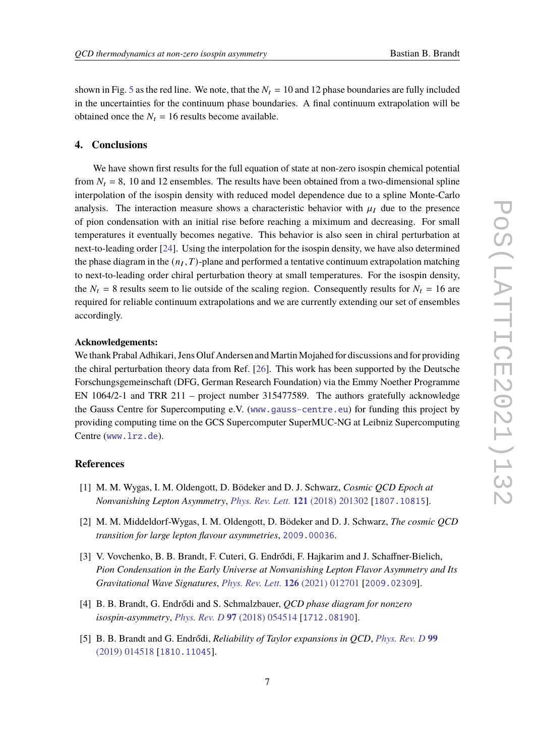shown in Fig. [5](#page-5-1) as the red line. We note, that the  $N_t = 10$  and 12 phase boundaries are fully included in the uncertainties for the continuum phase boundaries. A final continuum extrapolation will be obtained once the  $N_t = 16$  results become available.

#### **4. Conclusions**

We have shown first results for the full equation of state at non-zero isospin chemical potential from  $N_t = 8$ , 10 and 12 ensembles. The results have been obtained from a two-dimensional spline interpolation of the isospin density with reduced model dependence due to a spline Monte-Carlo analysis. The interaction measure shows a characteristic behavior with  $\mu_l$  due to the presence of pion condensation with an initial rise before reaching a miximum and decreasing. For small temperatures it eventually becomes negative. This behavior is also seen in chiral perturbation at next-to-leading order [\[24\]](#page-8-2). Using the interpolation for the isospin density, we have also determined the phase diagram in the  $(n_I, T)$ -plane and performed a tentative continuum extrapolation matching to next-to-leading order chiral perturbation theory at small temperatures. For the isospin density, the  $N_t = 8$  results seem to lie outside of the scaling region. Consequently results for  $N_t = 16$  are required for reliable continuum extrapolations and we are currently extending our set of ensembles accordingly.

#### **Acknowledgements:**

We thank Prabal Adhikari, Jens Oluf Andersen and Martin Mojahed for discussions and for providing the chiral perturbation theory data from Ref. [\[26\]](#page-8-4). This work has been supported by the Deutsche Forschungsgemeinschaft (DFG, German Research Foundation) via the Emmy Noether Programme EN 1064/2-1 and TRR 211 – project number 315477589. The authors gratefully acknowledge the Gauss Centre for Supercomputing e.V. ([www.gauss-centre.eu](https://www.gauss-centre.eu)) for funding this project by providing computing time on the GCS Supercomputer SuperMUC-NG at Leibniz Supercomputing Centre ([www.lrz.de](https://www.lrz.de)).

#### **References**

- <span id="page-6-0"></span>[1] M. M. Wygas, I. M. Oldengott, D. Bödeker and D. J. Schwarz, *Cosmic QCD Epoch at Nonvanishing Lepton Asymmetry*, *[Phys. Rev. Lett.](https://doi.org/10.1103/PhysRevLett.121.201302)* **121** (2018) 201302 [[1807.10815](https://arxiv.org/abs/1807.10815)].
- [2] M. M. Middeldorf-Wygas, I. M. Oldengott, D. Bödeker and D. J. Schwarz, *The cosmic QCD transition for large lepton flavour asymmetries*, [2009.00036](https://arxiv.org/abs/2009.00036).
- <span id="page-6-1"></span>[3] V. Vovchenko, B. B. Brandt, F. Cuteri, G. Endrődi, F. Hajkarim and J. Schaffner-Bielich, *Pion Condensation in the Early Universe at Nonvanishing Lepton Flavor Asymmetry and Its Gravitational Wave Signatures*, *[Phys. Rev. Lett.](https://doi.org/10.1103/PhysRevLett.126.012701)* **126** (2021) 012701 [[2009.02309](https://arxiv.org/abs/2009.02309)].
- <span id="page-6-2"></span>[4] B. B. Brandt, G. Endrődi and S. Schmalzbauer, *QCD phase diagram for nonzero isospin-asymmetry*, *[Phys. Rev. D](https://doi.org/10.1103/PhysRevD.97.054514)* **97** (2018) 054514 [[1712.08190](https://arxiv.org/abs/1712.08190)].
- <span id="page-6-3"></span>[5] B. B. Brandt and G. Endrődi, *Reliability of Taylor expansions in QCD*, *[Phys. Rev. D](https://doi.org/10.1103/PhysRevD.99.014518)* **99** [\(2019\) 014518](https://doi.org/10.1103/PhysRevD.99.014518) [[1810.11045](https://arxiv.org/abs/1810.11045)].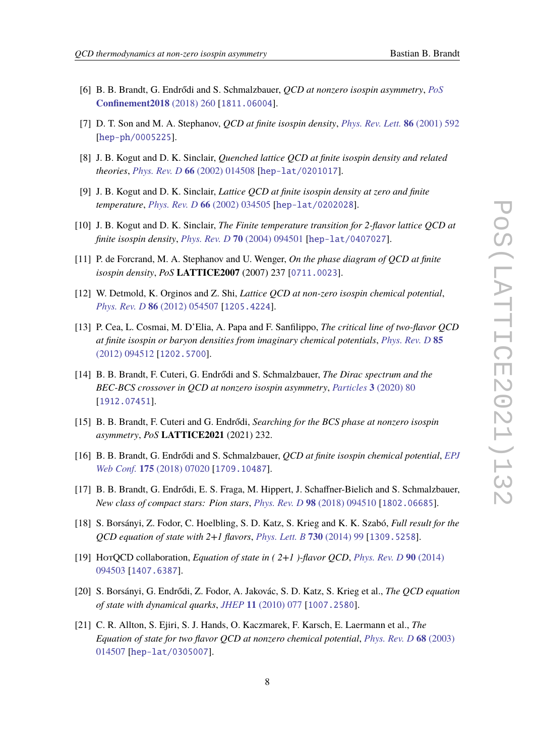- <span id="page-7-0"></span>[6] B. B. Brandt, G. Endrődi and S. Schmalzbauer, *QCD at nonzero isospin asymmetry*, *[PoS](https://doi.org/10.22323/1.336.0260)* **[Confinement2018](https://doi.org/10.22323/1.336.0260)** (2018) 260 [[1811.06004](https://arxiv.org/abs/1811.06004)].
- <span id="page-7-1"></span>[7] D. T. Son and M. A. Stephanov, *QCD at finite isospin density*, *[Phys. Rev. Lett.](https://doi.org/10.1103/PhysRevLett.86.592)* **86** (2001) 592 [[hep-ph/0005225](https://arxiv.org/abs/hep-ph/0005225)].
- <span id="page-7-6"></span>[8] J. B. Kogut and D. K. Sinclair, *Quenched lattice QCD at finite isospin density and related theories*, *[Phys. Rev. D](https://doi.org/10.1103/PhysRevD.66.014508)* **66** (2002) 014508 [[hep-lat/0201017](https://arxiv.org/abs/hep-lat/0201017)].
- [9] J. B. Kogut and D. K. Sinclair, *Lattice QCD at finite isospin density at zero and finite temperature*, *[Phys. Rev. D](https://doi.org/10.1103/PhysRevD.66.034505)* **66** (2002) 034505 [[hep-lat/0202028](https://arxiv.org/abs/hep-lat/0202028)].
- [10] J. B. Kogut and D. K. Sinclair, *The Finite temperature transition for 2-flavor lattice QCD at finite isospin density*, *[Phys. Rev. D](https://doi.org/10.1103/PhysRevD.70.094501)* **70** (2004) 094501 [[hep-lat/0407027](https://arxiv.org/abs/hep-lat/0407027)].
- [11] P. de Forcrand, M. A. Stephanov and U. Wenger, *On the phase diagram of QCD at finite isospin density*, *PoS* **LATTICE2007** (2007) 237 [[0711.0023](https://arxiv.org/abs/0711.0023)].
- [12] W. Detmold, K. Orginos and Z. Shi, *Lattice QCD at non-zero isospin chemical potential*, *[Phys. Rev. D](https://doi.org/10.1103/PhysRevD.86.054507)* **86** (2012) 054507 [[1205.4224](https://arxiv.org/abs/1205.4224)].
- <span id="page-7-7"></span>[13] P. Cea, L. Cosmai, M. D'Elia, A. Papa and F. Sanfilippo, *The critical line of two-flavor QCD at finite isospin or baryon densities from imaginary chemical potentials*, *[Phys. Rev. D](https://doi.org/10.1103/PhysRevD.85.094512)* **85** [\(2012\) 094512](https://doi.org/10.1103/PhysRevD.85.094512) [[1202.5700](https://arxiv.org/abs/1202.5700)].
- <span id="page-7-2"></span>[14] B. B. Brandt, F. Cuteri, G. Endrődi and S. Schmalzbauer, *The Dirac spectrum and the BEC-BCS crossover in QCD at nonzero isospin asymmetry*, *[Particles](https://doi.org/10.3390/particles3010007)* **3** (2020) 80 [[1912.07451](https://arxiv.org/abs/1912.07451)].
- <span id="page-7-3"></span>[15] B. B. Brandt, F. Cuteri and G. Endrődi, *Searching for the BCS phase at nonzero isospin asymmetry*, *PoS* **LATTICE2021** (2021) 232.
- <span id="page-7-4"></span>[16] B. B. Brandt, G. Endrődi and S. Schmalzbauer, *QCD at finite isospin chemical potential*, *[EPJ](https://doi.org/10.1051/epjconf/201817507020) Web Conf.* **175** [\(2018\) 07020](https://doi.org/10.1051/epjconf/201817507020) [[1709.10487](https://arxiv.org/abs/1709.10487)].
- <span id="page-7-5"></span>[17] B. B. Brandt, G. Endrődi, E. S. Fraga, M. Hippert, J. Schaffner-Bielich and S. Schmalzbauer, *New class of compact stars: Pion stars*, *[Phys. Rev. D](https://doi.org/10.1103/PhysRevD.98.094510)* **98** (2018) 094510 [[1802.06685](https://arxiv.org/abs/1802.06685)].
- <span id="page-7-8"></span>[18] S. Borsányi, Z. Fodor, C. Hoelbling, S. D. Katz, S. Krieg and K. K. Szabó, *Full result for the QCD equation of state with 2+1 flavors*, *[Phys. Lett. B](https://doi.org/10.1016/j.physletb.2014.01.007)* **730** (2014) 99 [[1309.5258](https://arxiv.org/abs/1309.5258)].
- <span id="page-7-9"></span>[19] HotQCD collaboration, *Equation of state in ( 2+1 )-flavor QCD*, *[Phys. Rev. D](https://doi.org/10.1103/PhysRevD.90.094503)* **90** (2014) [094503](https://doi.org/10.1103/PhysRevD.90.094503) [[1407.6387](https://arxiv.org/abs/1407.6387)].
- <span id="page-7-10"></span>[20] S. Borsányi, G. Endrődi, Z. Fodor, A. Jakovác, S. D. Katz, S. Krieg et al., *The QCD equation of state with dynamical quarks*, *JHEP* **11** [\(2010\) 077](https://doi.org/10.1007/JHEP11(2010)077) [[1007.2580](https://arxiv.org/abs/1007.2580)].
- <span id="page-7-11"></span>[21] C. R. Allton, S. Ejiri, S. J. Hands, O. Kaczmarek, F. Karsch, E. Laermann et al., *The Equation of state for two flavor QCD at nonzero chemical potential*, *[Phys. Rev. D](https://doi.org/10.1103/PhysRevD.68.014507)* **68** (2003) [014507](https://doi.org/10.1103/PhysRevD.68.014507) [[hep-lat/0305007](https://arxiv.org/abs/hep-lat/0305007)].